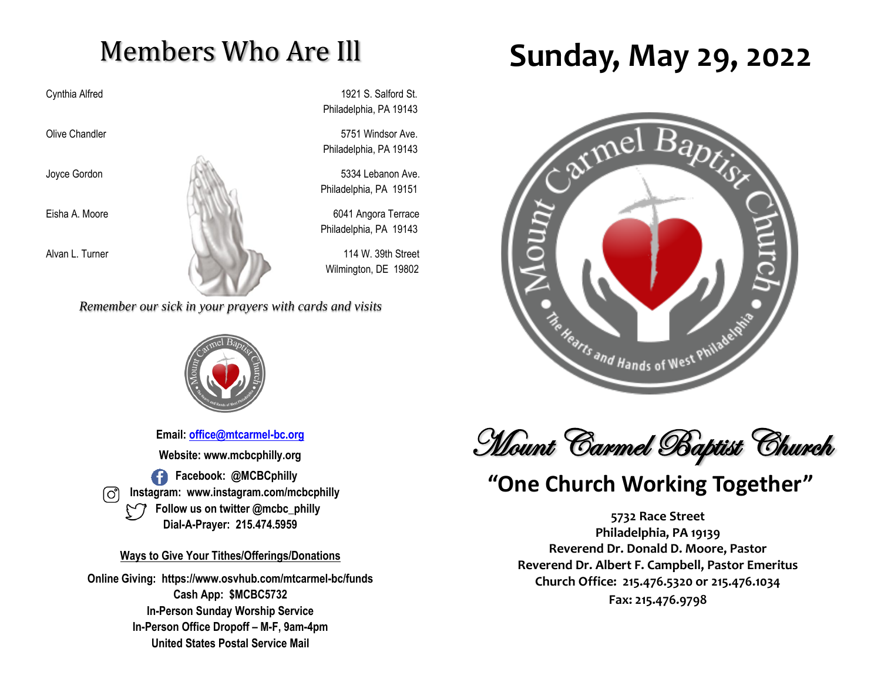# Members Who Are Ill

Cynthia Alfred 1921 S. Salford St. Philadelphia, PA 19143

Olive Chandler **5751** Windsor Ave. Philadelphia, PA 19143

Philadelphia, PA 19151

Philadelphia, PA 19143

Wilmington, DE 19802

*Remember our sick in your prayers with cards and visits*



**Email: [office@mtcarmel-bc.org](mailto:office@mtcarmel-bc.org) Website: www.mcbcphilly.org Facebook: @MCBCphilly Instagram: www.instagram.com/mcbcphilly Follow us on twitter @mcbc\_philly Dial-A-Prayer: 215.474.5959**

#### **Ways to Give Your Tithes/Offerings/Donations**

**Online Giving: https://www.osvhub.com/mtcarmel-bc/funds Cash App: \$MCBC5732 In-Person Sunday Worship Service In-Person Office Dropoff – M-F, 9am-4pm United States Postal Service Mail**

# **Sunday, May 29, 2022**





## **"One Church Working Together"**

**5732 Race Street Philadelphia, PA 19139 Reverend Dr. Donald D. Moore, Pastor Reverend Dr. Albert F. Campbell, Pastor Emeritus Church Office: 215.476.5320 or 215.476.1034 Fax: 215.476.9798**